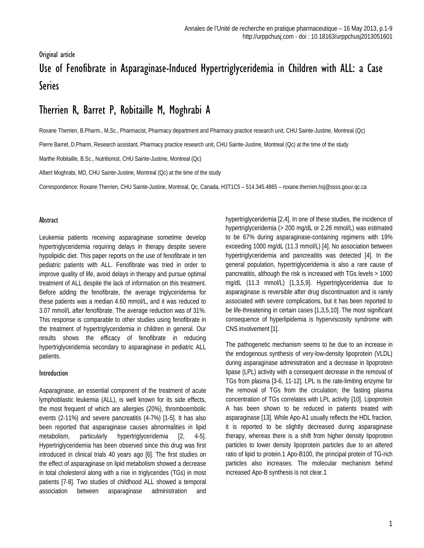# Original article Use of Fenofibrate in Asparaginase-Induced Hypertriglyceridemia in Children with ALL: a Case Series

# Therrien R, Barret P, Robitaille M, Moghrabi A

Roxane Therrien, B.Pharm., M.Sc., Pharmacist, Pharmacy department and Pharmacy practice research unit, CHU Sainte-Justine, Montreal (Qc)

Pierre Barret, D.Pharm, Research assistant, Pharmacy practice research unit, CHU Sainte-Justine, Montreal (Qc) at the time of the study

Marthe Robitaille, B.Sc., Nutritionist, CHU Sainte-Justine, Montreal (Qc)

Albert Moghrabi, MD, CHU Sainte-Justine, Montreal (Qc) at the time of the study

Correspondence: Roxane Therrien, CHU Sainte-Justine, Montreal, Qc, Canada, H3T1C5 – 514.345.4865 – roxane.therrien.hs[j@ssss.gouv.qc.ca](mailto:jf.bussieres@ssss.gouv.qc.ca)

#### Abstract

Leukemia patients receiving asparaginase sometime develop hypertriglyceridemia requiring delays in therapy despite severe hypolipidic diet. This paper reports on the use of fenofibrate in ten pediatric patients with ALL. Fenofibrate was tried in order to improve quality of life, avoid delays in therapy and pursue optimal treatment of ALL despite the lack of information on this treatment. Before adding the fenofibrate, the average triglyceridemia for these patients was a median 4.60 mmol/L, and it was reduced to 3.07 mmol/L after fenofibrate. The average reduction was of 31%. This response is comparable to other studies using fenofibrate in the treatment of hypertriglyceridemia in children in general. Our results shows the efficacy of fenofibrate in reducing hypertriglyceridemia secondary to asparaginase in pediatric ALL patients.

#### Introduction

Asparaginase, an essential component of the treatment of acute lymphoblastic leukemia (ALL), is well known for its side effects, the most frequent of which are allergies (20%), thromboembolic events (2-11%) and severe pancreatitis (4-7%) [1-5]. It has also been reported that asparaginase causes abnormalities in lipid metabolism, particularly hypertriglyceridemia [2, 4-5]. Hypertriglyceridemia has been observed since this drug was first introduced in clinical trials 40 years ago [6]. The first studies on the effect of asparaginase on lipid metabolism showed a decrease in total cholesterol along with a rise in triglycerides (TGs) in most patients [7-8]. Two studies of childhood ALL showed a temporal association between asparaginase administration and

hypertriglyceridemia [2,4]. In one of these studies, the incidence of hypertriglyceridemia (> 200 mg/dL or 2.26 mmol/L) was estimated to be 67% during asparaginase-containing regimens with 19% exceeding 1000 mg/dL (11.3 mmol/L) [4]. No association between hypertriglyceridemia and pancreatitis was detected [4]. In the general population, hypertriglyceridemia is also a rare cause of pancreatitis, although the risk is increased with TGs levels > 1000 mg/dL (11.3 mmol/L) [1,3,5,9]. Hypertriglyceridemia due to asparaginase is reversible after drug discontinuation and is rarely associated with severe complications, but it has been reported to be life-threatening in certain cases [1,3,5,10]. The most significant consequence of hyperlipidemia is hyperviscosity syndrome with CNS involvement [1].

The pathogenetic mechanism seems to be due to an increase in the endogenous synthesis of very-low-density lipoprotein (VLDL) during asparaginase administration and a decrease in lipoprotein lipase (LPL) activity with a consequent decrease in the removal of TGs from plasma [3-6, 11-12]. LPL is the rate-limiting enzyme for the removal of TGs from the circulation; the fasting plasma concentration of TGs correlates with LPL activity [10]. Lipoprotein A has been shown to be reduced in patients treated with asparaginase [13]. While Apo-A1 usually reflects the HDL fraction, it is reported to be slightly decreased during asparaginase therapy, whereas there is a shift from higher density lipoprotein particles to lower density lipoprotein particles due to an altered ratio of lipid to protein.1 Apo-B100, the principal protein of TG-rich particles also increases. The molecular mechanism behind increased Apo-B synthesis is not clear.1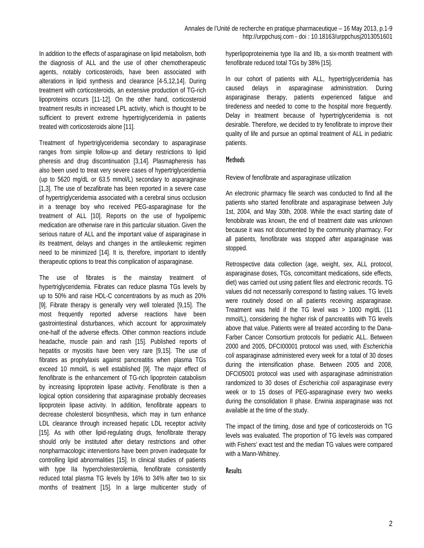In addition to the effects of asparaginase on lipid metabolism, both the diagnosis of ALL and the use of other chemotherapeutic agents, notably corticosteroids, have been associated with alterations in lipid synthesis and clearance [4-5,12,14]. During treatment with corticosteroids, an extensive production of TG-rich lipoproteins occurs [11-12]. On the other hand, corticosteroid treatment results in increased LPL activity, which is thought to be sufficient to prevent extreme hypertriglyceridemia in patients treated with corticosteroids alone [11].

Treatment of hypertriglyceridemia secondary to asparaginase ranges from simple follow-up and dietary restrictions to lipid pheresis and drug discontinuation [3,14]. Plasmapheresis has also been used to treat very severe cases of hypertriglyceridemia (up to 5620 mg/dL or 63.5 mmol/L) secondary to asparaginase [1,3]. The use of bezafibrate has been reported in a severe case of hypertriglyceridemia associated with a cerebral sinus occlusion in a teenage boy who received PEG-asparaginase for the treatment of ALL [10]. Reports on the use of hypolipemic medication are otherwise rare in this particular situation. Given the serious nature of ALL and the important value of asparaginase in its treatment, delays and changes in the antileukemic regimen need to be minimized [14]. It is, therefore, important to identify therapeutic options to treat this complication of asparaginase.

The use of fibrates is the mainstay treatment of hypertriglyceridemia. Fibrates can reduce plasma TGs levels by up to 50% and raise HDL-C concentrations by as much as 20% [9]. Fibrate therapy is generally very well tolerated [9,15]. The most frequently reported adverse reactions have been gastrointestinal disturbances, which account for approximately one-half of the adverse effects. Other common reactions include headache, muscle pain and rash [15]. Published reports of hepatitis or myositis have been very rare [9,15]. The use of fibrates as prophylaxis against pancreatitis when plasma TGs exceed 10 mmol/L is well established [9]. The major effect of fenofibrate is the enhancement of TG-rich lipoprotein catabolism by increasing lipoprotein lipase activity. Fenofibrate is then a logical option considering that asparaginase probably decreases lipoprotein lipase activity. In addition, fenofibrate appears to decrease cholesterol biosynthesis, which may in turn enhance LDL clearance through increased hepatic LDL receptor activity [15]. As with other lipid-regulating drugs, fenofibrate therapy should only be instituted after dietary restrictions and other nonpharmacologic interventions have been proven inadequate for controlling lipid abnormalities [15]. In clinical studies of patients with type IIa hypercholesterolemia, fenofibrate consistently reduced total plasma TG levels by 16% to 34% after two to six months of treatment [15]. In a large multicenter study of

hyperlipoproteinemia type IIa and IIb, a six-month treatment with fenofibrate reduced total TGs by 38% [15].

In our cohort of patients with ALL, hypertriglyceridemia has caused delays in asparaginase administration. During asparaginase therapy, patients experienced fatigue and tiredeness and needed to come to the hospital more frequently. Delay in treatment because of hypertriglyceridemia is not desirable. Therefore, we decided to try fenofibrate to improve their quality of life and pursue an optimal treatment of ALL in pediatric patients.

## **Methods**

Review of fenofibrate and asparaginase utilization

An electronic pharmacy file search was conducted to find all the patients who started fenofibrate and asparaginase between July 1st, 2004, and May 30th, 2008. While the exact starting date of fenobibrate was known, the end of treatment date was unknown because it was not documented by the community pharmacy. For all patients, fenofibrate was stopped after asparaginase was stopped.

Retrospective data collection (age, weight, sex, ALL protocol, asparaginase doses, TGs, concomittant medications, side effects, diet) was carried out using patient files and electronic records. TG values did not necessarily correspond to fasting values. TG levels were routinely dosed on all patients receiving asparaginase. Treatment was held if the TG level was > 1000 mg/dL (11 mmol/L), considering the higher risk of pancreatitis with TG levels above that value. Patients were all treated according to the Dana-Farber Cancer Consortium protocols for pediatric ALL. Between 2000 and 2005, DFCI00001 protocol was used, with *Escherichia coli* asparaginase administered every week for a total of 30 doses during the intensification phase. Between 2005 and 2008, DFCI05001 protocol was used with asparaginase administration randomized to 30 doses of *Escherichia coli* asparaginase every week or to 15 doses of PEG-asparaginase every two weeks during the consolidation II phase. Erwinia asparaginase was not available at the time of the study.

The impact of the timing, dose and type of corticosteroids on TG levels was evaluated. The proportion of TG levels was compared with Fishers' exact test and the median TG values were compared with a Mann-Whitney.

#### **Results**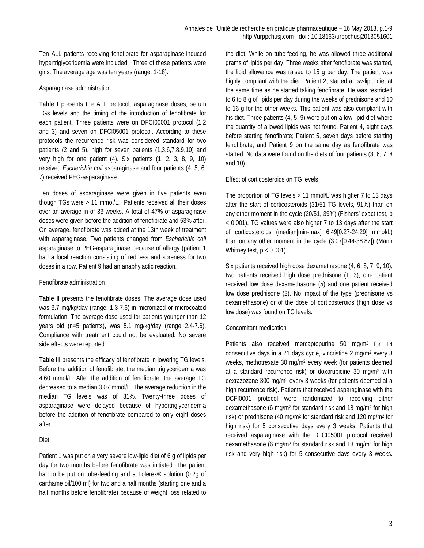Ten ALL patients receiving fenofibrate for asparaginase-induced hypertriglyceridemia were included. Three of these patients were girls. The average age was ten years (range: 1-18).

#### Asparaginase administration

**Table I** presents the ALL protocol, asparaginase doses, serum TGs levels and the timing of the introduction of fenofibrate for each patient. Three patients were on DFCI00001 protocol (1,2 and 3) and seven on DFCI05001 protocol. According to these protocols the recurrence risk was considered standard for two patients (2 and 5), high for seven patients (1,3,6,7,8,9,10) and very high for one patient (4). Six patients (1, 2, 3, 8, 9, 10) received *Escherichia coli* asparaginase and four patients (4, 5, 6, 7) received PEG-asparaginase.

Ten doses of asparaginase were given in five patients even though TGs were > 11 mmol/L. Patients received all their doses over an average in of 33 weeks. A total of 47% of asparaginase doses were given before the addition of fenofibrate and 53% after. On average, fenofibrate was added at the 13th week of treatment with asparaginase. Two patients changed from *Escherichia coli* asparaginase to PEG-asparaginase because of allergy (patient 1 had a local reaction consisting of redness and soreness for two doses in a row. Patient 9 had an anaphylactic reaction.

#### Fenofibrate administration

**Table II** presents the fenofibrate doses. The average dose used was 3.7 mg/kg/day (range: 1.3-7.6) in micronized or microcoated formulation. The average dose used for patients younger than 12 years old (n=5 patients), was 5.1 mg/kg/day (range 2.4-7.6). Compliance with treatment could not be evaluated. No severe side effects were reported.

**Table III** presents the efficacy of fenofibrate in lowering TG levels. Before the addition of fenofibrate, the median triglyceridemia was 4.60 mmol/L. After the addition of fenofibrate, the average TG decreased to a median 3.07 mmol/L. The average reduction in the median TG levels was of 31%. Twenty-three doses of asparaginase were delayed because of hypertriglyceridemia before the addition of fenofibrate compared to only eight doses after.

## Diet

Patient 1 was put on a very severe low-lipid diet of 6 g of lipids per day for two months before fenofibrate was initiated. The patient had to be put on tube-feeding and a Tolerex® solution (0.2g of carthame oil/100 ml) for two and a half months (starting one and a half months before fenofibrate) because of weight loss related to the diet. While on tube-feeding, he was allowed three additional grams of lipids per day. Three weeks after fenofibrate was started, the lipid allowance was raised to 15 g per day. The patient was highly compliant with the diet. Patient 2, started a low-lipid diet at the same time as he started taking fenofibrate. He was restricted to 6 to 8 g of lipids per day during the weeks of prednisone and 10 to 16 g for the other weeks. This patient was also compliant with his diet. Three patients (4, 5, 9) were put on a low-lipid diet where the quantity of allowed lipids was not found. Patient 4, eight days before starting fenofibrate; Patient 5, seven days before starting fenofibrate; and Patient 9 on the same day as fenofibrate was started. No data were found on the diets of four patients (3, 6, 7, 8 and 10).

## Effect of corticosteroids on TG levels

The proportion of TG levels > 11 mmol/L was higher 7 to 13 days after the start of corticosteroids (31/51 TG levels, 91%) than on any other moment in the cycle (20/51, 39%) (Fishers' exact test, p < 0.001). TG values were also higher 7 to 13 days after the start of corticosteroids (median[min-max] 6.49[0.27-24.29] mmol/L) than on any other moment in the cycle (3.07[0.44-38.87]) (Mann Whitney test,  $p < 0.001$ ).

Six patients received high dose dexamethasone (4, 6, 8, 7, 9, 10), two patients received high dose prednisone (1, 3), one patient received low dose dexamethasone (5) and one patient received low dose prednisone (2). No impact of the type (prednisone vs dexamethasone) or of the dose of corticosteroids (high dose vs low dose) was found on TG levels.

## Concomitant medication

Patients also received mercaptopurine 50 mg/m<sup>2</sup> for 14 consecutive days in a 21 days cycle, vincristine 2 mg/m2 every 3 weeks, methotrexate 30 mg/m2 every week (for patients deemed at a standard recurrence risk) or doxorubicine 30 mg/m2 with dexrazozane 300 mg/m2 every 3 weeks (for patients deemed at a high recurrence risk). Patients that received asparaginase with the DCFI0001 protocol were randomized to receiving either dexamethasone (6 mg/m2 for standard risk and 18 mg/m2 for high risk) or prednisone (40 mg/m2 for standard risk and 120 mg/m2 for high risk) for 5 consecutive days every 3 weeks. Patients that received asparaginase with the DFCI05001 protocol received dexamethasone (6 mg/m2 for standard risk and 18 mg/m2 for high risk and very high risk) for 5 consecutive days every 3 weeks.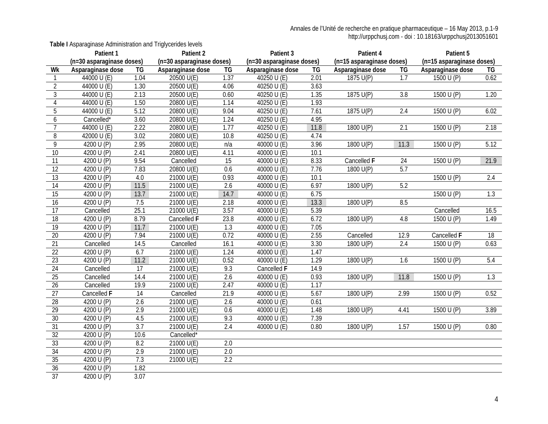**Table I** Asparaginase Administration and Triglycerides levels

|                 | Patient 1                 |                  | Patient 2                 |      | Patient 3                        |      | Patient 4                 |                  | Patient 5                 |      |
|-----------------|---------------------------|------------------|---------------------------|------|----------------------------------|------|---------------------------|------------------|---------------------------|------|
|                 | (n=30 asparaginase doses) |                  | (n=30 asparaginase doses) |      | (n=30 asparaginase doses)        |      | (n=15 asparaginase doses) |                  | (n=15 asparaginase doses) |      |
| Wk              | Asparaginase dose         | TG               | Asparaginase dose         | TG   | Asparaginase dose                | TG   | Asparaginase dose         | TG               | Asparaginase dose         | TG   |
| 1               | 44000 U (E)               | 1.04             | 20500 $U(E)$              | 1.37 | 40250 U (E)                      | 2.01 | 1875 U(P)                 | $\overline{1.7}$ | 1500 $U(P)$               | 0.62 |
| $\overline{2}$  | 44000 U (E)               | 1.30             | 20500 U(E)                | 4.06 | 40250 U (E)                      | 3.63 |                           |                  |                           |      |
| $\mathfrak{Z}$  | 44000 $U(E)$              | 2.13             | $20500$ U(E)              | 0.60 | $\overline{40250}$ U (E)         | 1.35 | 1875 U(P)                 | 3.8              | 1500 U (P)                | 1.20 |
| $\overline{4}$  | 44000 U (E)               | 1.50             | 20800 U(E)                | 1.14 | $40250$ U (E)                    | 1.93 |                           |                  |                           |      |
| $\overline{5}$  | 44000 U (E)               | 5.12             | 20800 U(E)                | 9.04 | 40250 U (E)                      | 7.61 | 1875 U(P)                 | 2.4              | 1500 U (P)                | 6.02 |
| 6               | Cancelled*                | 3.60             | 20800 U(E)                | 1.24 | 40250 U (E)                      | 4.95 |                           |                  |                           |      |
| $\overline{7}$  | 44000 U (E)               | 2.22             | 20800 U(E)                | 1.77 | 40250 U (E)                      | 11.8 | 1800 U(P)                 | $\overline{2.1}$ | 1500 $U(P)$               | 2.18 |
| 8               | 42000 U (E)               | 3.02             | 20800 U(E)                | 10.8 | 40250 U (E)                      | 4.74 |                           |                  |                           |      |
| 9               | 4200 U (P)                | 2.95             | 20800 U(E)                | n/a  | 40000 U (E)                      | 3.96 | 1800 U(P)                 | 11.3             | 1500 U (P)                | 5.12 |
| $10$            | 4200 U (P)                | 2.41             | 20800 U(E)                | 4.11 | 40000 U (E)                      | 10.1 |                           |                  |                           |      |
| 11              | 4200 U (P)                | 9.54             | Cancelled                 | 15   | $\overline{40000 \text{ U}}$ (E) | 8.33 | Cancelled F               | 24               | 1500 U (P)                | 21.9 |
| 12              | 4200 U (P)                | 7.83             | 20800 U(E)                | 0.6  | 40000 U (E)                      | 7.76 | 1800 U(P)                 | 5.7              |                           |      |
| 13              | 4200 U (P)                | 4.0              | 21000 U(E)                | 0.93 | 40000 $U(E)$                     | 10.1 |                           |                  | 1500 U (P)                | 2.4  |
| $\overline{14}$ | 4200 U (P)                | 11.5             | 21000 U(E)                | 2.6  | 40000 $U(E)$                     | 6.97 | 1800 U(P)                 | 5.2              |                           |      |
| 15              | 4200 U (P)                | 13.7             | 21000 U(E)                | 14.7 | 40000 $U(E)$                     | 6.75 |                           |                  | 1500 U (P)                | 1.3  |
| 16              | 4200 U (P)                | 7.5              | 21000 U(E)                | 2.18 | 40000 U (E)                      | 13.3 | 1800 U(P)                 | 8.5              |                           |      |
| $\overline{17}$ | Cancelled                 | 25.1             | 21000 U(E)                | 3.57 | 40000 U (E)                      | 5.39 |                           |                  | Cancelled                 | 16.5 |
| $\overline{18}$ | 4200 U (P)                | 8.79             | Cancelled F               | 23.8 | 40000 U (E)                      | 6.72 | 1800 U(P)                 | 4.8              | 1500 $U(P)$               | 1.49 |
| $\overline{19}$ | 4200 U (P)                | 11.7             | 21000 U(E)                | 1.3  | 40000 U (E)                      | 7.05 |                           |                  |                           |      |
| 20              | 4200 U (P)                | 7.94             | 21000 U(E)                | 0.72 | 40000 U (E)                      | 2.55 | Cancelled                 | 12.9             | Cancelled F               | 18   |
| 21              | Cancelled                 | 14.5             | Cancelled                 | 16.1 | 40000 U (E)                      | 3.30 | 1800 U(P)                 | 2.4              | 1500 $U(P)$               | 0.63 |
| 22              | 4200 U (P)                | 6.7              | 21000 U(E)                | 1.24 | 40000 U (E)                      | 1.47 |                           |                  |                           |      |
| $\overline{23}$ | 4200 U (P)                | 11.2             | 21000 U(E)                | 0.52 | 40000 U (E)                      | 1.29 | 1800 U(P)                 | 1.6              | 1500 U (P)                | 5.4  |
| $\overline{24}$ | Cancelled                 | $\overline{17}$  | 21000 U(E)                | 9.3  | Cancelled F                      | 14.9 |                           |                  |                           |      |
| $\overline{25}$ | Cancelled                 | 14.4             | 21000 U(E)                | 2.6  | 40000 U (E)                      | 0.93 | 1800 U(P)                 | 11.8             | 1500 U (P)                | 1.3  |
| 26              | Cancelled                 | 19.9             | 21000 U(E)                | 2.47 | 40000 U (E)                      | 1.17 |                           |                  |                           |      |
| 27              | Cancelled F               | $\overline{14}$  | Cancelled                 | 21.9 | 40000 U (E)                      | 5.67 | 1800 U(P)                 | 2.99             | 1500 U (P)                | 0.52 |
| $\overline{28}$ | 4200 U (P)                | $\overline{2.6}$ | 21000 U(E)                | 2.6  | $\frac{40000}{1}$ U (E)          | 0.61 |                           |                  |                           |      |
| $\overline{29}$ | 4200 U (P)                | 2.9              | 21000 U(E)                | 0.6  | 40000 U (E)                      | 1.48 | 1800 U(P)                 | 4.41             | 1500 U(P)                 | 3.89 |
| 30              | 4200 U (P)                | 4.5              | 21000 U(E)                | 9.3  | 40000 U (E)                      | 7.39 |                           |                  |                           |      |
| $\overline{31}$ | 4200 U (P)                | $\overline{3.7}$ | 21000 U(E)                | 2.4  | 40000 U (E)                      | 0.80 | 1800 U(P)                 | 1.57             | 1500 U (P)                | 0.80 |
| $\overline{32}$ | 4200 U (P)                | 10.6             | Cancelled*                |      |                                  |      |                           |                  |                           |      |
| 33              | 4200 U (P)                | 8.2              | 21000 U(E)                | 2.0  |                                  |      |                           |                  |                           |      |
| 34              | 4200 U (P)                | 2.9              | 21000 U(E)                | 2.0  |                                  |      |                           |                  |                           |      |
| 35              | 4200 U (P)                | 7.3              | 21000 U(E)                | 2.2  |                                  |      |                           |                  |                           |      |
| $\overline{36}$ | 4200 $U(\overline{P})$    | 1.82             |                           |      |                                  |      |                           |                  |                           |      |
| 37              | 4200 U (P)                | 3.07             |                           |      |                                  |      |                           |                  |                           |      |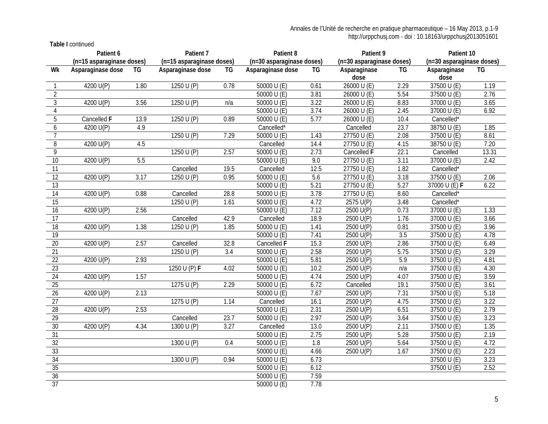**Table I** continued

|                 | Patient 6                 |      | Patient 7                 |                  | Patient 8                             |                  | Patient 9                 |                  | Patient 10                |       |
|-----------------|---------------------------|------|---------------------------|------------------|---------------------------------------|------------------|---------------------------|------------------|---------------------------|-------|
|                 | (n=15 asparaginase doses) |      | (n=15 asparaginase doses) |                  | (n=30 asparaginase doses)             |                  | (n=30 asparaginase doses) |                  | (n=30 asparaginase doses) |       |
| Wk              | Asparaginase dose         | TG   | Asparaginase dose         | TG               | Asparaginase dose                     | TG               | Asparaginase              | TG               | Asparaginase              | TG    |
| $\mathbf{1}$    | 4200 U(P)                 | 1.80 | 1250 U (P)                | 0.78             | 50000 $U(E)$                          | 0.61             | dose<br>26000 U (E)       | 2.29             | dose<br>37500 U (E)       | 1.19  |
| $\overline{2}$  |                           |      |                           |                  | 50000 $U(E)$                          | 3.81             | 26000 U(E)                | 5.54             | 37500 U (E)               | 2.76  |
|                 |                           |      |                           |                  |                                       |                  |                           |                  |                           |       |
| 3               | 4200 U(P)                 | 3.56 | 1250 U $(P)$              | n/a              | 50000 $U(E)$                          | 3.22             | 26000 $U(E)$              | 8.83             | 37000 U (E)               | 3.65  |
| 4               |                           |      |                           |                  | 50000 $U(E)$                          | 3.74             | 26000 U (E)               | 2.45             | 37000 U (E)               | 6.92  |
| 5               | Cancelled F               | 13.9 | 1250 U (P)                | 0.89             | 50000 $U(E)$                          | 5.77             | 26000 U(E)                | 10.4             | Cancelled*                |       |
| 6               | 4200 U(P)                 | 4.9  |                           |                  | Cancelled*                            |                  | Cancelled                 | 23.7             | 38750 U (E)               | 1.85  |
| $\overline{7}$  |                           |      | 1250 U (P)                | 7.29             | 50000 U (E)                           | 1.43             | 27750 U (E)               | 2.08             | 37500 U (E)               | 8.61  |
| 8               | 4200 U(P)                 | 4.5  |                           |                  | Cancelled                             | 14.4             | 27750 U(E)                | 4.15             | 38750 U (E)               | 7.20  |
| 9               |                           |      | 1250 U $(P)$              | 2.57             | 50000 $U(E)$                          | 2.73             | Cancelled F               | 22.1             | Cancelled                 | 13.31 |
| 10              | 4200 U(P)                 | 5.5  |                           |                  | 50000 U (E)                           | 9.0              | 27750 U(E)                | 3.11             | 37000 U (E)               | 2.42  |
| 11              |                           |      | Cancelled                 | 19.5             | Cancelled                             | 12.5             | 27750 U (E)               | 1.82             | Cancelled*                |       |
| $\overline{12}$ | 4200 U(P)                 | 3.17 | 1250 U (P)                | 0.95             | 50000 U (E)                           | 5.6              | 27750 U(E)                | 3.18             | 37500 U (E)               | 2.06  |
| $\overline{13}$ |                           |      |                           |                  | 50000 U (E)                           | 5.21             | 27750 U (E)               | 5.27             | 37000 U (E) F             | 6.22  |
| $\overline{14}$ | 4200 U(P)                 | 0.88 | Cancelled                 | 28.8             | 50000 $U(E)$                          | 3.78             | 27750 U (E)               | 8.60             | Cancelled*                |       |
| $\overline{15}$ |                           |      | 1250 $U(P)$               | 1.61             | 50000 $U(E)$                          | 4.72             | 2575 U(P)                 | 3.48             | Cancelled*                |       |
| 16              | 4200 U(P)                 | 2.56 |                           |                  | 50000 U (E)                           | 7.12             | 2500 U(P)                 | 0.73             | 37000 U (E)               | 1.33  |
| $\overline{17}$ |                           |      | Cancelled                 | 42.9             | Cancelled                             | 18.9             | 2500 U(P)                 | 1.76             | 37000 U (E)               | 3.66  |
| 18              | 4200 U(P)                 | 1.38 | 1250 $U(P)$               | 1.85             | 50000 U (E)                           | 1.41             | 2500 U(P)                 | 0.81             | 37500 U (E)               | 3.96  |
| $\overline{19}$ |                           |      |                           |                  | 50000 $U(E)$                          | 7.41             | 2500 U(P)                 | $\overline{3.5}$ | 37500 U (E)               | 4.78  |
| $\overline{20}$ | 4200 U(P)                 | 2.57 | Cancelled                 | 32.8             | Cancelled F                           | 15.3             | 2500 U(P)                 | 2.86             | 37500 U (E)               | 6.49  |
| 21              |                           |      | 1250 U $(P)$              | $\overline{3.4}$ | 50000 $U(E)$                          | 2.58             | 2500 U(P)                 | 5.75             | 37500 U(E)                | 3.29  |
| $\overline{22}$ | 4200 U(P)                 | 2.93 |                           |                  | 50000 U (E)                           | 5.81             | 2500 U(P)                 | 5.9              | 37500 U (E)               | 4.81  |
| $\overline{23}$ |                           |      | 1250 U (P) F              | 4.02             | 50000 U (E)                           | 10.2             | 2500 U(P)                 | n/a              | 37500 U (E)               | 4.30  |
| 24              | 4200 U(P)                 | 1.57 |                           |                  | $\overline{50000}$ $\overline{U}$ (E) | 4.74             | 2500 U(P)                 | 4.07             | 37500 U (E)               | 3.59  |
| 25              |                           |      | 1275 $U(P)$               | 2.29             | 50000 $U(E)$                          | 6.72             | Cancelled                 | 19.1             | 37500 U (E)               | 3.61  |
| 26              | 4200 U(P)                 | 2.13 |                           |                  | 50000 $U(E)$                          | 7.67             | 2500 U(P)                 | 7.31             | 37500 U (E)               | 5.18  |
| 27              |                           |      | 1275 U (P)                | 1.14             | Cancelled                             | 16.1             | 2500 U(P)                 | 4.75             | 37500 U (E)               | 3.22  |
| 28              | 4200 U(P)                 | 2.53 |                           |                  | $50000 \text{ U}$ (E)                 | 2.31             | $2500$ U(P)               | 6.51             | 37500 U (E)               | 2.79  |
| $\overline{29}$ |                           |      | Cancelled                 | 23.7             | 50000 U (E)                           | 2.97             | 2500 U(P)                 | 3.64             | 37500 U (E)               | 3.23  |
| 30              | 4200 U(P)                 | 4.34 | 1300 U (P)                | 3.27             | Cancelled                             | 13.0             | 2500 U(P)                 | 2.11             | 37500 U (E)               | 1.35  |
| 31              |                           |      |                           |                  | 50000 U(E)                            | 2.75             | $2500$ U(P)               | 5.28             | 37500 U (E)               | 2.19  |
| 32              |                           |      | 1300 U $(P)$              | 0.4              | 50000 $U(E)$                          | $\overline{1.8}$ | 2500 U(P)                 | 5.64             | 37500 U (E)               | 4.72  |
| 33              |                           |      |                           |                  | 50000 U (E)                           | 4.66             | 2500 U(P)                 | 1.67             | 37500 U (E)               | 2.23  |
| 34              |                           |      | 1300 U (P)                | 0.94             | $50000 \text{ U}$ (E)                 | 6.73             |                           |                  | 37500 U (E)               | 3.23  |
| 35              |                           |      |                           |                  | 50000 U (E)                           | 6.12             |                           |                  | 37500 U (E)               | 2.52  |
| 36              |                           |      |                           |                  | 50000 U (E)                           | 7.59             |                           |                  |                           |       |
| 37              |                           |      |                           |                  | 50000 U (E)                           | 7.78             |                           |                  |                           |       |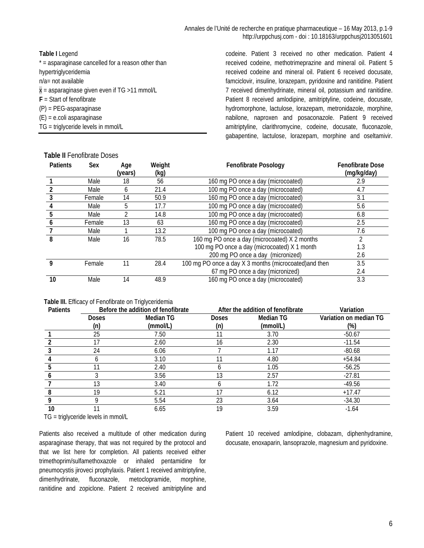| Table I Legend                                       |  |  |  |  |  |  |
|------------------------------------------------------|--|--|--|--|--|--|
| $*$ = asparaginase cancelled for a reason other than |  |  |  |  |  |  |
| hypertriglyceridemia                                 |  |  |  |  |  |  |
| $n/a = not available$                                |  |  |  |  |  |  |
| $x =$ asparaginase given even if TG >11 mmol/L       |  |  |  |  |  |  |
| $F =$ Start of fenofibrate                           |  |  |  |  |  |  |
| $(P)$ = PEG-asparaginase                             |  |  |  |  |  |  |
| $(E) = e$ .coli asparaginase                         |  |  |  |  |  |  |
| $TG = triglyceride levels in mmol/L$                 |  |  |  |  |  |  |

codeine. Patient 3 received no other medication. Patient 4 received codeine, methotrimeprazine and mineral oil. Patient 5 received codeine and mineral oil. Patient 6 received docusate, famciclovir, insuline, lorazepam, pyridoxine and ranitidine. Patient 7 received dimenhydrinate, mineral oil, potassium and ranitidine. Patient 8 received amlodipine, amitriptyline, codeine, docusate, hydromorphone, lactulose, lorazepam, metronidazole, morphine, nabilone, naproxen and posaconazole. Patient 9 received amitriptyline, clarithromycine, codeine, docusate, fluconazole, gabapentine, lactulose, lorazepam, morphine and oseltamivir.

| <b>Patients</b> | Sex    | Age     | Weight | <b>Fenofibrate Posology</b>                            | <b>Fenofibrate Dose</b> |
|-----------------|--------|---------|--------|--------------------------------------------------------|-------------------------|
|                 |        | (vears) | (kg)   |                                                        | (mg/kg/day)             |
|                 | Male   | 18      | 56     | 160 mg PO once a day (microcoated)                     | 2.9                     |
|                 | Male   | 6       | 21.4   | 100 mg PO once a day (microcoated)                     | 4.7                     |
|                 | Female | 14      | 50.9   | 160 mg PO once a day (microcoated)                     | 3.1                     |
|                 | Male   | 5       | 17.7   | 100 mg PO once a day (microcoated)                     | 5.6                     |
| 5               | Male   |         | 14.8   | 100 mg PO once a day (microcoated)                     | 6.8                     |
|                 | Female | 13      | 63     | 160 mg PO once a day (microcoated)                     | 2.5                     |
|                 | Male   |         | 13.2   | 100 mg PO once a day (microcoated)                     | 7.6                     |
| 8               | Male   | 16      | 78.5   | 160 mg PO once a day (microcoated) X 2 months          |                         |
|                 |        |         |        | 100 mg PO once a day (microcoated) X 1 month           | 1.3                     |
|                 |        |         |        | 200 mg PO once a day (micronized)                      | 2.6                     |
| Q               | Female | 11      | 28.4   | 100 mg PO once a day X 3 months (microcoated) and then | 3.5                     |
|                 |        |         |        | 67 mg PO once a day (micronized)                       | 2.4                     |
| 10              | Male   | 14      | 48.9   | 160 mg PO once a day (microcoated)                     | 3.3                     |

## **Table II** Fenofibrate Doses

#### Table III. Efficacy of Fenofibrate on Triglyceridemia

| <b>Patients</b> | $\overline{ }$ | ັ<br>Before the addition of fenofibrate |              | After the addition of fenofibrate | Variation              |
|-----------------|----------------|-----------------------------------------|--------------|-----------------------------------|------------------------|
|                 | <b>Doses</b>   | <b>Median TG</b>                        | <b>Doses</b> | Median TG                         | Variation on median TG |
|                 | (n)            | (mmol/L)                                | (n)          | (mmol/L)                          | (%)                    |
|                 | 25             | 7.50                                    |              | 3.70                              | $-50.67$               |
|                 | 17             | 2.60                                    | 16           | 2.30                              | $-11.54$               |
|                 | 24             | 6.06                                    |              | 1.17                              | $-80.68$               |
|                 |                | 3.10                                    |              | 4.80                              | $+54.84$               |
|                 |                | 2.40                                    |              | 1.05                              | $-56.25$               |
|                 |                | 3.56                                    | 13           | 2.57                              | $-27.81$               |
|                 | 13             | 3.40                                    |              | 1.72                              | $-49.56$               |
|                 | 19             | 5.21                                    |              | 6.12                              | $+17.47$               |
|                 |                | 5.54                                    | 23           | 3.64                              | $-34.30$               |
| 10              |                | 6.65                                    | 19           | 3.59                              | $-1.64$                |

TG = triglyceride levels in mmol/L

Patients also received a multitude of other medication during asparaginase therapy, that was not required by the protocol and that we list here for completion. All patients received either trimethoprim/sulfamethoxazole or inhaled pentamidine for pneumocystis jiroveci prophylaxis. Patient 1 received amitriptyline, dimenhydrinate, fluconazole, metoclopramide, morphine, ranitidine and zopiclone. Patient 2 received amitriptyline and

Patient 10 received amlodipine, clobazam, diphenhydramine, docusate, enoxaparin, lansoprazole, magnesium and pyridoxine.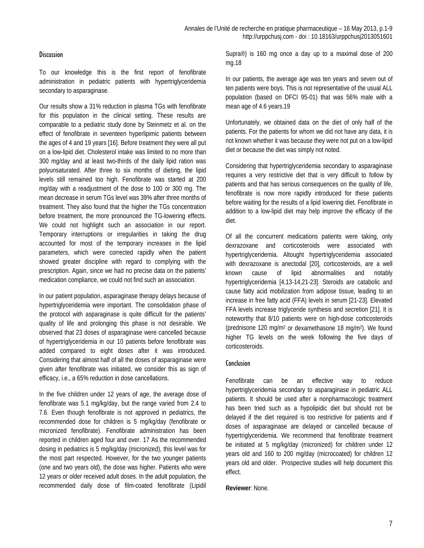## **Discussion**

To our knowledge this is the first report of fenofibrate administration in pediatric patients with hypertriglyceridemia secondary to asparaginase.

Our results show a 31% reduction in plasma TGs with fenofibrate for this population in the clinical setting. These results are comparable to a pediatric study done by Steinmetz et al. on the effect of fenofibrate in seventeen hyperlipimic patients between the ages of 4 and 19 years [16]. Before treatment they were all put on a low-lipid diet. Cholesterol intake was limited to no more than 300 mg/day and at least two-thirds of the daily lipid ration was polyunsaturated. After three to six months of dieting, the lipid levels still remained too high. Fenofibrate was started at 200 mg/day with a readjustment of the dose to 100 or 300 mg. The mean decrease in serum TGs level was 39% after three months of treatment. They also found that the higher the TGs concentration before treatment, the more pronounced the TG-lowering effects. We could not highlight such an association in our report. Temporary interruptions or irregularities in taking the drug accounted for most of the temporary increases in the lipid parameters, which were corrected rapidly when the patient showed greater discipline with regard to complying with the prescription. Again, since we had no precise data on the patients' medication compliance, we could not find such an association.

In our patient population, asparaginase therapy delays because of hypertriglyceridemia were important. The consolidation phase of the protocol with asparaginase is quite difficult for the patients' quality of life and prolonging this phase is not desirable. We observed that 23 doses of asparaginase were cancelled because of hypertriglyceridemia in our 10 patients before fenofibrate was added compared to eight doses after it was introduced. Considering that almost half of all the doses of asparaginase were given after fenofibrate was initiated, we consider this as sign of efficacy, i.e., a 65% reduction in dose cancellations.

In the five children under 12 years of age, the average dose of fenofibrate was 5.1 mg/kg/day, but the range varied from 2.4 to 7.6. Even though fenofibrate is not approved in pediatrics, the recommended dose for children is 5 mg/kg/day (fenofibrate or micronized fenofibrate). Fenofibrate administration has been reported in children aged four and over. 17 As the recommended dosing in pediatrics is 5 mg/kg/day (micronized), this level was for the most part respected. However, for the two younger patients (one and two years old), the dose was higher. Patients who were 12 years or older received adult doses. In the adult population, the recommended daily dose of film-coated fenofibrate (Lipidil Supra®) is 160 mg once a day up to a maximal dose of 200 mg.18

In our patients, the average age was ten years and seven out of ten patients were boys. This is not representative of the usual ALL population (based on DFCI 95-01) that was 56% male with a mean age of 4.6 years.19

Unfortunately, we obtained data on the diet of only half of the patients. For the patients for whom we did not have any data, it is not known whether it was because they were not put on a low-lipid diet or because the diet was simply not noted.

Considering that hypertriglyceridemia secondary to asparaginase requires a very restrictive diet that is very difficult to follow by patients and that has serious consequences on the quality of life, fenofibrate is now more rapidly introduced for these patients before waiting for the results of a lipid lowering diet. Fenofibrate in addition to a low-lipid diet may help improve the efficacy of the diet.

Of all the concurrent medications patients were taking, only dexrazoxane and corticosteroids were associated with hypertriglyceridemia. Altought hypertriglyceridemia associated with dexrazoxane is anectodal [20], corticosteroids, are a well known cause of lipid abnormalities and notably hypertriglyceridemia [4,13-14,21-23]. Steroids are catabolic and cause fatty acid mobilization from adipose tissue, leading to an increase in free fatty acid (FFA) levels in serum [21-23]. Elevated FFA levels increase triglyceride synthesis and secretion [21]. It is noteworthy that 8/10 patients were on high-dose corticosteroids (prednisone 120 mg/m2 or dexamethasone 18 mg/m2). We found higher TG levels on the week following the five days of corticosteroids.

# **Conclusion**

Fenofibrate can be an effective way to reduce hypertriglyceridemia secondary to asparaginase in pediatric ALL patients. It should be used after a nonpharmacologic treatment has been tried such as a hypolipidic diet but should not be delayed if the diet required is too restrictive for patients and if doses of asparaginase are delayed or cancelled because of hypertriglyceridemia. We recommend that fenofibrate treatment be initiated at 5 mg/kg/day (micronized) for children under 12 years old and 160 to 200 mg/day (microcoated) for children 12 years old and older. Prospective studies will help document this effect.

**Reviewer**: None.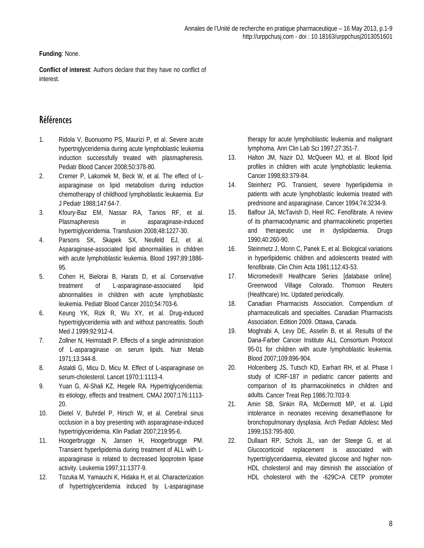**Funding**: None.

**Conflict of interest**: Authors declare that they have no conflict of interest.

# Références

- 1. Ridola V, Buonuomo PS, Maurizi P, et al. Severe acute hypertriglyceridemia during acute lymphoblastic leukemia induction successfully treated with plasmapheresis. Pediatr Blood Cancer 2008;50:378-80.
- 2. Cremer P, Lakomek M, Beck W, et al. The effect of Lasparaginase on lipid metabolism during induction chemotherapy of childhood lymphoblastic leukaemia. Eur J Pediatr 1988;147:64-7.
- 3. Kfoury-Baz EM, Nassar RA, Tanios RF, et al. Plasmapheresis in asparaginase-induced hypertriglyceridemia. Transfusion 2008;48:1227-30.
- 4. Parsons SK, Skapek SX, Neufeld EJ, et al. Asparaginase-associated lipid abnormalities in children with acute lymphoblastic leukemia. Blood 1997;89:1886- 95.
- 5. Cohen H, Bielorai B, Harats D, et al. Conservative treatment of L-asparaginase-associated lipid abnormalities in children with acute lymphoblastic leukemia. Pediatr Blood Cancer 2010;54:703-6.
- 6. Keung YK, Rizk R, Wu XY, et al. Drug-induced hypertriglyceridemia with and without pancreatitis. South Med J 1999;92:912-4.
- 7. Zollner N, Heimstadt P. Effects of a single administration of L-asparaginase on serum lipids. Nutr Metab 1971;13:344-8.
- 8. Astaldi G, Micu D, Micu M. Effect of L-asparaginase on serum-cholesterol. Lancet 1970;1:1113-4.
- 9. Yuan G, Al-Shali KZ, Hegele RA. Hypertriglyceridemia: its etiology, effects and treatment. CMAJ 2007;176:1113- 20.
- 10. Dietel V, Buhrdel P, Hirsch W, et al. Cerebral sinus occlusion in a boy presenting with asparaginase-induced hypertriglyceridemia. Klin Padiatr 2007;219:95-6.
- 11. Hoogerbrugge N, Jansen H, Hoogerbrugge PM. Transient hyperlipidemia during treatment of ALL with Lasparaginase is related to decreased lipoprotein lipase activity. Leukemia 1997;11:1377-9.
- 12. Tozuka M, Yamauchi K, Hidaka H, et al. Characterization of hypertriglyceridemia induced by L-asparaginase

therapy for acute lymphoblastic leukemia and malignant lymphoma. Ann Clin Lab Sci 1997;27:351-7.

- 13. Halton JM, Nazir DJ, McQueen MJ, et al. Blood lipid profiles in children with acute lymphoblastic leukemia. Cancer 1998;83:379-84.
- 14. Steinherz PG. Transient, severe hyperlipidemia in patients with acute lymphoblastic leukemia treated with prednisone and asparaginase. Cancer 1994;74:3234-9.
- 15. Balfour JA, McTavish D, Heel RC. Fenofibrate. A review of its pharmacodynamic and pharmacokinetic properties and therapeutic use in dyslipidaemia. Drugs 1990;40:260-90.
- 16. Steinmetz J, Morin C, Panek E, et al. Biological variations in hyperlipidemic children and adolescents treated with fenofibrate. Clin Chim Acta 1981;112:43-53.
- 17. Micromedex® Healthcare Series [database online]. Greenwood Village Colorado. Thomson Reuters (Healthcare) Inc. Updated periodically.
- 18. Canadian Pharmacists Association. Compendium of pharmaceuticals and specialties. Canadian Pharmacists Association. Edition 2009. Ottawa, Canada.
- 19. Moghrabi A, Levy DE, Asselin B, et al. Results of the Dana-Farber Cancer Institute ALL Consortium Protocol 95-01 for children with acute lymphoblastic leukemia. Blood 2007;109:896-904.
- 20. Holcenberg JS, Tutsch KD, Earhart RH, et al. [Phase I](http://www.ncbi.nlm.nih.gov/pubmed/3089595)  [study of ICRF-187 in pediatric cancer patients and](http://www.ncbi.nlm.nih.gov/pubmed/3089595)  [comparison of its pharmacokinetics in children and](http://www.ncbi.nlm.nih.gov/pubmed/3089595)  [adults.](http://www.ncbi.nlm.nih.gov/pubmed/3089595) Cancer Treat Rep 1986;70:703-9.
- 21. Amin SB, Sinkin RA, McDermott MP, et al. [Lipid](http://www.ncbi.nlm.nih.gov/pubmed/10437750)  [intolerance in neonates receiving dexamethasone for](http://www.ncbi.nlm.nih.gov/pubmed/10437750)  [bronchopulmonary dysplasia.](http://www.ncbi.nlm.nih.gov/pubmed/10437750) Arch Pediatr Adolesc Med 1999;153:795-800.
- 22. Dullaart RP, Schols JL, van der Steege G, et al. [Glucocorticoid replacement is associated with](http://www.ncbi.nlm.nih.gov/pubmed/18221399)  [hypertriglyceridaemia, elevated glucose and higher non-](http://www.ncbi.nlm.nih.gov/pubmed/18221399)[HDL cholesterol and may diminish the association of](http://www.ncbi.nlm.nih.gov/pubmed/18221399)  [HDL cholesterol with the -629C>A CETP promoter](http://www.ncbi.nlm.nih.gov/pubmed/18221399)